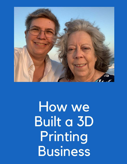

How we **Built a 3D** Printing **Business**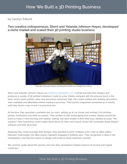#### by Carolyn Edlund

Two creative entrepreneurs, Sherri and Yolanda Johnson-Hayes, developed a niche market and scaled their 3D printing studio business.



Yolanda Johnson-Hayes working her booth at a model train show.

Sherri and Yolanda Johnson-Hayes run CatzPaw Innovations LLC[,](https://catzpawstore.myshopify.com/) a small business that designs and produces a variety of 3D printed miniatures made to scale. Initially intrigued with the process back in the early 2000's when printers were new and prices extremely high, the couple waited until desktop 3D printers were available and affordable before making a purchase. Their printer languished somewhat as a novelty until they found a way to put it to practical use.

At the time, they operated a portable slot car track, setting up at car shows and renting it for birthday parties, fundraisers and other occasions. They wanted to add landscaping and scenery details around the track to make it more exciting and realistic looking, but were unable to find what they needed at scale. The solution? They found they could create these items for their track layout using CAD (computer aided design) software and their 3D printer.

Realizing they could leverage their designs, they decided to print multiples and a stint as eBay sellers followed. Surprisingly, the eBay buyers regularly engaged in bidding wars. They recognized a need in the marketplace, and had the means to design and produce what customers wanted.

We recently spoke about this journey and how they developed multiple streams of income and repeat customers.

[How We Built a 3D Printing Business](https://www.artsyshark.com/2021/09/29/how-we-built-a-3d-printing-business/)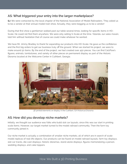# AS: What triggered your entry into the larger marketplace?

SJ: We were contacted by the local chapter of the National Association of Model Railroaders. They asked us to be a vendor at their annual model train show. Actually, they were begging us to be a vendor!

During that first show a gentleman walked past our table several times, looking for specific items in HO-Scale. He could not find them anywhere. We were only selling S-Scale at the time. Yolanda, our sales maven, told him without hesitation that of course we could make whatever he wanted.

We have Mr. Jimmy Bradley to thank for expanding our products into HO-Scale. He gave us the confidence and the first big orders to get our business truly off the ground. When we started his project, we were to make around 50 items. By the end of the project, we had created over 450 pieces. You can find CatzPaw's figures, animals, tombstones, and variety of other pieces on permanent display as part of the Historic Diorama located at the Welcome Center in Cuthbert, Georgia.



3D printed elements on display in the Cuthbert, GA Historical Diorama

## AS: How did you develop niche markets?

Initially, we thought our audience was folks who build slot car layouts, since this was our start in printing scale items. However, our target market turned to the model railroad community. Then the farm toy community joined in.

Our niche market is actually a combination of smaller niche markets, all of which are in search of scale model replicas of real-life objects. Our products can be found on model railroad layouts, farm toy displays, slot car tracks, die-cast displays, historic dioramas, stand-alone displays, figures memorializing a person, wedding displays, and cake toppers.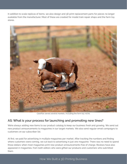In addition to scale replicas of items, we also design and 3D print replacement parts for pieces no longer available from the manufacturer. Most of these are created for model train repair shops and the farm toy stores.



CatzPaw serves several markets, including the farm toy niche.

### AS: What is your process for launching and promoting new lines?

We're always adding new items to our product catalog to keep our business fresh and growing. We send out new product announcements to magazines in our target markets. We also send regular email campaigns to customers on our subscriber list.

At first, we paid for advertising in multiple magazines per market. After tracking the numbers and finding where customers were coming, we cut back to advertising in just one magazine. There was no need to spend those dollars when most magazines print new product announcements free of charge. Reviews have also appeared in magazines, from both editors who were gifted our products and customers who submitted them.

#### [How We Built a 3D Printing Business](https://www.artsyshark.com/2021/09/29/how-we-built-a-3d-printing-business/)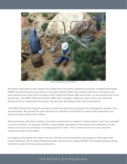

Still scene layout of 3D items

We joined organizations that support the model train community: National Association of Model Railroaders (NMRA) and the National Association of S Gaugers (NASG). Both have websites that list our products and both sponsor train shows that we attend. Most model train shows offer door prizes, so we provide items to be given away. The NMRA Piedmont Division raffles off a complete model train layout each year which we provide items to complement the layout. We also give 3D printing clinics and presentations.

The NMRA Partnership Program provides member discounts on purchases from participating vendors, and we participate. We provide the same discount for members of the NASG as well as first responders and those who have served in the military.

We've partnered with other creators to provide complementary models for their products and cross-promote to various markets. For example, SZenery Scale Models specializes in the design and production of scale motorcycles, but has no interest in creating figures for them. This is where we come in; we create the motorcycle riders for the bikes.

Our pages on Facebook and Twitter and our YouTube channel announce new products, share ideas and receive feedback. We've joined Facebook groups relevant to our target markets and respond people looking for items to add to their layouts and dioramas.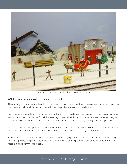

Custom 3D printed figures and buildings in a Christmas layout

## AS: How are you selling your products?

The majority of our sales are directly to customers though our online store. However, we also take orders over the phone and via mail. On request, we will provide printed catalogs and order forms.

We have several resellers in the model train and farm toy markets. Another reseller holds exclusive rights to sell our products on eBay. We found that keeping up with eBay listings and a separate online store was just too much. Most customers want to buy direct from our website versus going through the eBay process.

We also set up and sell products at local model train shows. Typically, there are three to four shows a year in the Atlanta area, but with COVID there have been no shows during the past year and a half.

In addition, we have some models listed on Shapeways, a 3D printing service and curator. Customers can go to our Shapeways shop and select models to have printed and shipped to them directly. Once a month we receive a sales commission check.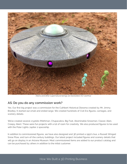

Aliens and other supernatural beings are bestsellers for CatzPaw

### AS: Do you do any commission work?

Yes. Our first big project was a commission for the Cuthbert Historical Diorama created by Mr. Jimmy Bradley. It started out small and ended large. We created hundreds of Civil Era figures, carriages, and scenery details.

We've created several cryptids (Mothman, Chupacabra, Big Foot, Abominable Snowman, Classic Alien, Creepy Alien). These were fun projects with a lot of room for creativity. We also produced figures to be used with the Polar Lights Jupiter 2 spaceship.

In addition to commissioned figures, we have also designed and 3D printed a 1950's bus, a Russell Winged Snow Plow, and turn-of-the century buildings. Our latest project included figures and scenery details that will go on display in an Arizona Museum. Most commissioned items are added to our product catalog and can be purchased by others in addition to the initial customer.